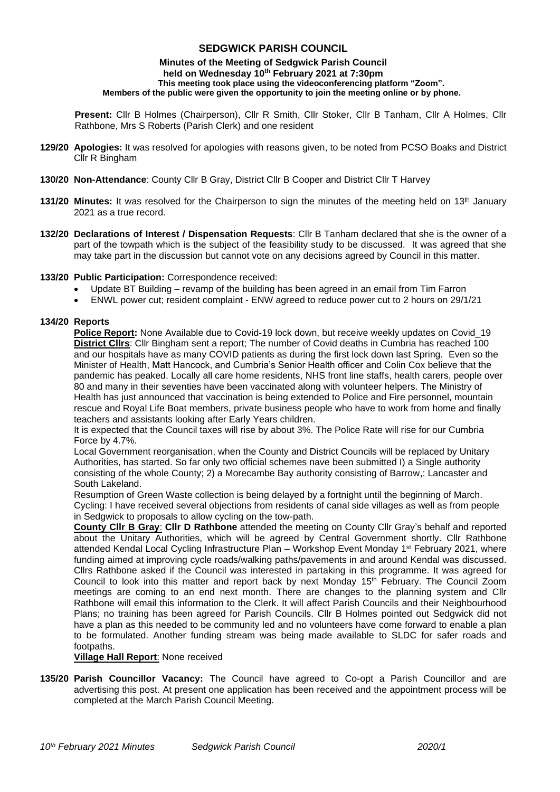# **SEDGWICK PARISH COUNCIL**

#### **Minutes of the Meeting of Sedgwick Parish Council held on Wednesday 10 th February 2021 at 7:30pm This meeting took place using the videoconferencing platform "Zoom". Members of the public were given the opportunity to join the meeting online or by phone.**

**Present:** Cllr B Holmes (Chairperson), Cllr R Smith, Cllr Stoker, Cllr B Tanham, Cllr A Holmes, Cllr Rathbone, Mrs S Roberts (Parish Clerk) and one resident

- **129/20 Apologies:** It was resolved for apologies with reasons given, to be noted from PCSO Boaks and District Cllr R Bingham
- **130/20 Non-Attendance**: County Cllr B Gray, District Cllr B Cooper and District Cllr T Harvey
- **131/20 Minutes:** It was resolved for the Chairperson to sign the minutes of the meeting held on 13<sup>th</sup> January 2021 as a true record.
- **132/20 Declarations of Interest / Dispensation Requests**: Cllr B Tanham declared that she is the owner of a part of the towpath which is the subject of the feasibility study to be discussed. It was agreed that she may take part in the discussion but cannot vote on any decisions agreed by Council in this matter.

#### **133/20 Public Participation:** Correspondence received:

- Update BT Building revamp of the building has been agreed in an email from Tim Farron
- ENWL power cut; resident complaint ENW agreed to reduce power cut to 2 hours on 29/1/21

#### **134/20 Reports**

**Police Report:** None Available due to Covid-19 lock down, but receive weekly updates on Covid\_19 **District Cllrs**: Cllr Bingham sent a report; The number of Covid deaths in Cumbria has reached 100 and our hospitals have as many COVID patients as during the first lock down last Spring. Even so the Minister of Health, Matt Hancock, and Cumbria's Senior Health officer and Colin Cox believe that the pandemic has peaked. Locally all care home residents, NHS front line staffs, health carers, people over 80 and many in their seventies have been vaccinated along with volunteer helpers. The Ministry of Health has just announced that vaccination is being extended to Police and Fire personnel, mountain rescue and Royal Life Boat members, private business people who have to work from home and finally teachers and assistants looking after Early Years children.

It is expected that the Council taxes will rise by about 3%. The Police Rate will rise for our Cumbria Force by 4.7%.

Local Government reorganisation, when the County and District Councils will be replaced by Unitary Authorities, has started. So far only two official schemes nave been submitted I) a Single authority consisting of the whole County; 2) a Morecambe Bay authority consisting of Barrow,: Lancaster and South Lakeland.

Resumption of Green Waste collection is being delayed by a fortnight until the beginning of March. Cycling: I have received several objections from residents of canal side villages as well as from people in Sedgwick to proposals to allow cycling on the tow-path.

**County Cllr B Gray**: **Cllr D Rathbone** attended the meeting on County Cllr Gray's behalf and reported about the Unitary Authorities, which will be agreed by Central Government shortly. Cllr Rathbone attended Kendal Local Cycling Infrastructure Plan – Workshop Event Monday 1st February 2021, where funding aimed at improving cycle roads/walking paths/pavements in and around Kendal was discussed. Cllrs Rathbone asked if the Council was interested in partaking in this programme. It was agreed for Council to look into this matter and report back by next Monday 15<sup>th</sup> February. The Council Zoom meetings are coming to an end next month. There are changes to the planning system and Cllr Rathbone will email this information to the Clerk. It will affect Parish Councils and their Neighbourhood Plans; no training has been agreed for Parish Councils. Cllr B Holmes pointed out Sedgwick did not have a plan as this needed to be community led and no volunteers have come forward to enable a plan to be formulated. Another funding stream was being made available to SLDC for safer roads and footpaths.

### **Village Hall Report**: None received

**135/20 Parish Councillor Vacancy:** The Council have agreed to Co-opt a Parish Councillor and are advertising this post. At present one application has been received and the appointment process will be completed at the March Parish Council Meeting.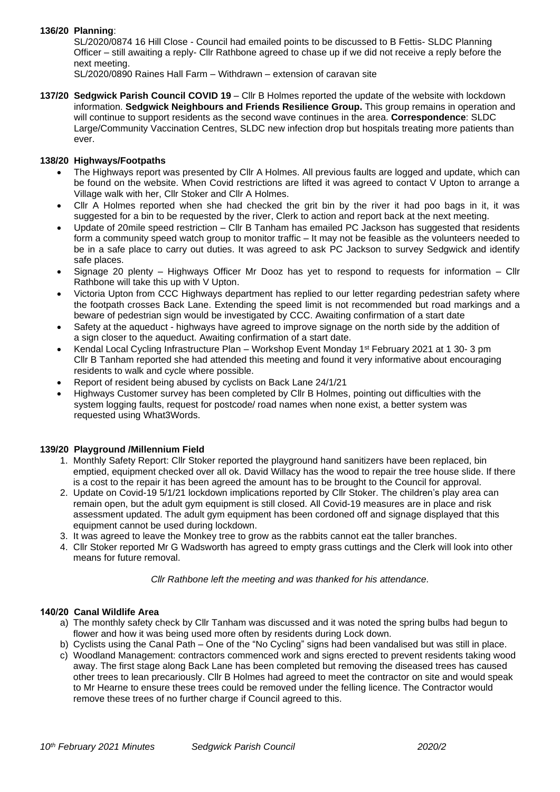# **136/20 Planning**:

SL/2020/0874 16 Hill Close - Council had emailed points to be discussed to B Fettis- SLDC Planning Officer – still awaiting a reply- Cllr Rathbone agreed to chase up if we did not receive a reply before the next meeting.

SL/2020/0890 Raines Hall Farm – Withdrawn – extension of caravan site

**137/20 Sedgwick Parish Council COVID 19** – Cllr B Holmes reported the update of the website with lockdown information. **Sedgwick Neighbours and Friends Resilience Group.** This group remains in operation and will continue to support residents as the second wave continues in the area. **Correspondence**: SLDC Large/Community Vaccination Centres, SLDC new infection drop but hospitals treating more patients than ever.

## **138/20 Highways/Footpaths**

- The Highways report was presented by Cllr A Holmes. All previous faults are logged and update, which can be found on the website. When Covid restrictions are lifted it was agreed to contact V Upton to arrange a Village walk with her, Cllr Stoker and Cllr A Holmes.
- Cllr A Holmes reported when she had checked the grit bin by the river it had poo bags in it, it was suggested for a bin to be requested by the river, Clerk to action and report back at the next meeting.
- Update of 20mile speed restriction Cllr B Tanham has emailed PC Jackson has suggested that residents form a community speed watch group to monitor traffic – It may not be feasible as the volunteers needed to be in a safe place to carry out duties. It was agreed to ask PC Jackson to survey Sedgwick and identify safe places.
- Signage 20 plenty Highways Officer Mr Dooz has yet to respond to requests for information Cllr Rathbone will take this up with V Upton.
- Victoria Upton from CCC Highways department has replied to our letter regarding pedestrian safety where the footpath crosses Back Lane. Extending the speed limit is not recommended but road markings and a beware of pedestrian sign would be investigated by CCC. Awaiting confirmation of a start date
- Safety at the aqueduct highways have agreed to improve signage on the north side by the addition of a sign closer to the aqueduct. Awaiting confirmation of a start date.
- Kendal Local Cycling Infrastructure Plan Workshop Event Monday 1st February 2021 at 1 30- 3 pm Cllr B Tanham reported she had attended this meeting and found it very informative about encouraging residents to walk and cycle where possible.
- Report of resident being abused by cyclists on Back Lane 24/1/21
- Highways Customer survey has been completed by Cllr B Holmes, pointing out difficulties with the system logging faults, request for postcode/ road names when none exist, a better system was requested using What3Words.

# **139/20 Playground /Millennium Field**

- 1. Monthly Safety Report: Cllr Stoker reported the playground hand sanitizers have been replaced, bin emptied, equipment checked over all ok. David Willacy has the wood to repair the tree house slide. If there is a cost to the repair it has been agreed the amount has to be brought to the Council for approval.
- 2. Update on Covid-19 5/1/21 lockdown implications reported by Cllr Stoker. The children's play area can remain open, but the adult gym equipment is still closed. All Covid-19 measures are in place and risk assessment updated. The adult gym equipment has been cordoned off and signage displayed that this equipment cannot be used during lockdown.
- 3. It was agreed to leave the Monkey tree to grow as the rabbits cannot eat the taller branches.
- 4. Cllr Stoker reported Mr G Wadsworth has agreed to empty grass cuttings and the Clerk will look into other means for future removal.

*Cllr Rathbone left the meeting and was thanked for his attendance.*

### **140/20 Canal Wildlife Area**

- a) The monthly safety check by Cllr Tanham was discussed and it was noted the spring bulbs had begun to flower and how it was being used more often by residents during Lock down.
- b) Cyclists using the Canal Path One of the "No Cycling" signs had been vandalised but was still in place.
- c) Woodland Management: contractors commenced work and signs erected to prevent residents taking wood away. The first stage along Back Lane has been completed but removing the diseased trees has caused other trees to lean precariously. Cllr B Holmes had agreed to meet the contractor on site and would speak to Mr Hearne to ensure these trees could be removed under the felling licence. The Contractor would remove these trees of no further charge if Council agreed to this.